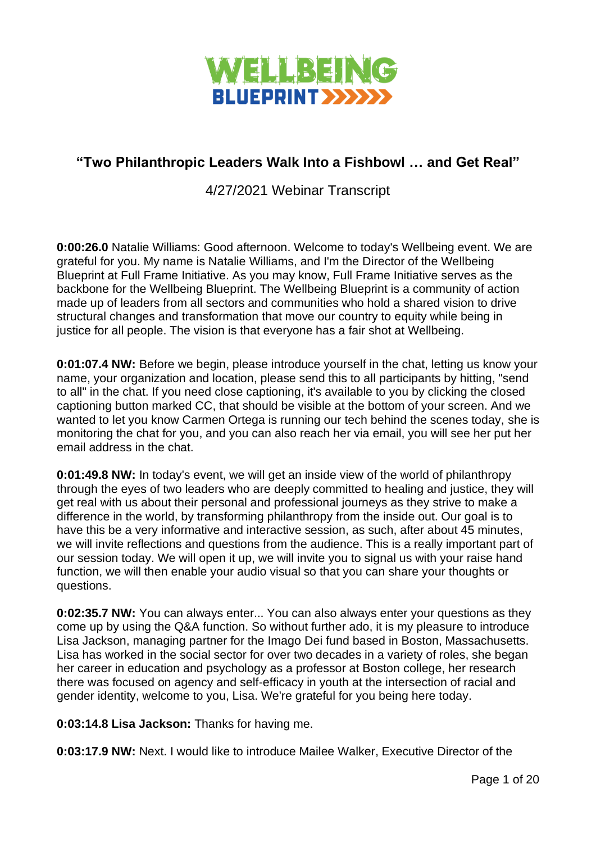

# **"Two Philanthropic Leaders Walk Into a Fishbowl … and Get Real"**

4/27/2021 Webinar Transcript

**0:00:26.0** Natalie Williams: Good afternoon. Welcome to today's Wellbeing event. We are grateful for you. My name is Natalie Williams, and I'm the Director of the Wellbeing Blueprint at Full Frame Initiative. As you may know, Full Frame Initiative serves as the backbone for the Wellbeing Blueprint. The Wellbeing Blueprint is a community of action made up of leaders from all sectors and communities who hold a shared vision to drive structural changes and transformation that move our country to equity while being in justice for all people. The vision is that everyone has a fair shot at Wellbeing.

**0:01:07.4 NW:** Before we begin, please introduce yourself in the chat, letting us know your name, your organization and location, please send this to all participants by hitting, "send to all" in the chat. If you need close captioning, it's available to you by clicking the closed captioning button marked CC, that should be visible at the bottom of your screen. And we wanted to let you know Carmen Ortega is running our tech behind the scenes today, she is monitoring the chat for you, and you can also reach her via email, you will see her put her email address in the chat.

**0:01:49.8 NW:** In today's event, we will get an inside view of the world of philanthropy through the eyes of two leaders who are deeply committed to healing and justice, they will get real with us about their personal and professional journeys as they strive to make a difference in the world, by transforming philanthropy from the inside out. Our goal is to have this be a very informative and interactive session, as such, after about 45 minutes, we will invite reflections and questions from the audience. This is a really important part of our session today. We will open it up, we will invite you to signal us with your raise hand function, we will then enable your audio visual so that you can share your thoughts or questions.

**0:02:35.7 NW:** You can always enter... You can also always enter your questions as they come up by using the Q&A function. So without further ado, it is my pleasure to introduce Lisa Jackson, managing partner for the Imago Dei fund based in Boston, Massachusetts. Lisa has worked in the social sector for over two decades in a variety of roles, she began her career in education and psychology as a professor at Boston college, her research there was focused on agency and self-efficacy in youth at the intersection of racial and gender identity, welcome to you, Lisa. We're grateful for you being here today.

**0:03:14.8 Lisa Jackson:** Thanks for having me.

**0:03:17.9 NW:** Next. I would like to introduce Mailee Walker, Executive Director of the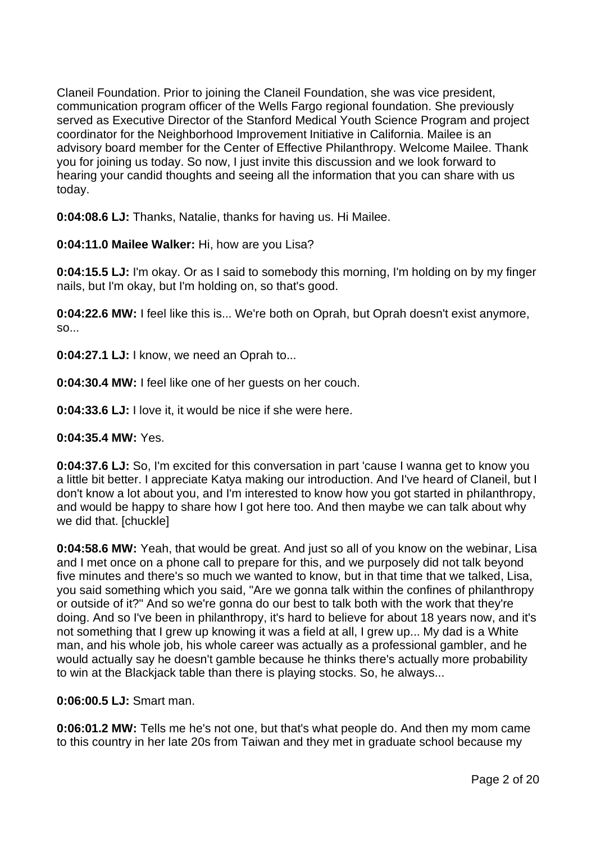Claneil Foundation. Prior to joining the Claneil Foundation, she was vice president, communication program officer of the Wells Fargo regional foundation. She previously served as Executive Director of the Stanford Medical Youth Science Program and project coordinator for the Neighborhood Improvement Initiative in California. Mailee is an advisory board member for the Center of Effective Philanthropy. Welcome Mailee. Thank you for joining us today. So now, I just invite this discussion and we look forward to hearing your candid thoughts and seeing all the information that you can share with us today.

**0:04:08.6 LJ:** Thanks, Natalie, thanks for having us. Hi Mailee.

**0:04:11.0 Mailee Walker:** Hi, how are you Lisa?

**0:04:15.5 LJ:** I'm okay. Or as I said to somebody this morning, I'm holding on by my finger nails, but I'm okay, but I'm holding on, so that's good.

**0:04:22.6 MW:** I feel like this is... We're both on Oprah, but Oprah doesn't exist anymore, so...

**0:04:27.1 LJ:** I know, we need an Oprah to...

**0:04:30.4 MW:** I feel like one of her guests on her couch.

**0:04:33.6 LJ:** I love it, it would be nice if she were here.

**0:04:35.4 MW:** Yes.

**0:04:37.6 LJ:** So, I'm excited for this conversation in part 'cause I wanna get to know you a little bit better. I appreciate Katya making our introduction. And I've heard of Claneil, but I don't know a lot about you, and I'm interested to know how you got started in philanthropy, and would be happy to share how I got here too. And then maybe we can talk about why we did that. [chuckle]

**0:04:58.6 MW:** Yeah, that would be great. And just so all of you know on the webinar, Lisa and I met once on a phone call to prepare for this, and we purposely did not talk beyond five minutes and there's so much we wanted to know, but in that time that we talked, Lisa, you said something which you said, "Are we gonna talk within the confines of philanthropy or outside of it?" And so we're gonna do our best to talk both with the work that they're doing. And so I've been in philanthropy, it's hard to believe for about 18 years now, and it's not something that I grew up knowing it was a field at all, I grew up... My dad is a White man, and his whole job, his whole career was actually as a professional gambler, and he would actually say he doesn't gamble because he thinks there's actually more probability to win at the Blackjack table than there is playing stocks. So, he always...

### **0:06:00.5 LJ:** Smart man.

**0:06:01.2 MW:** Tells me he's not one, but that's what people do. And then my mom came to this country in her late 20s from Taiwan and they met in graduate school because my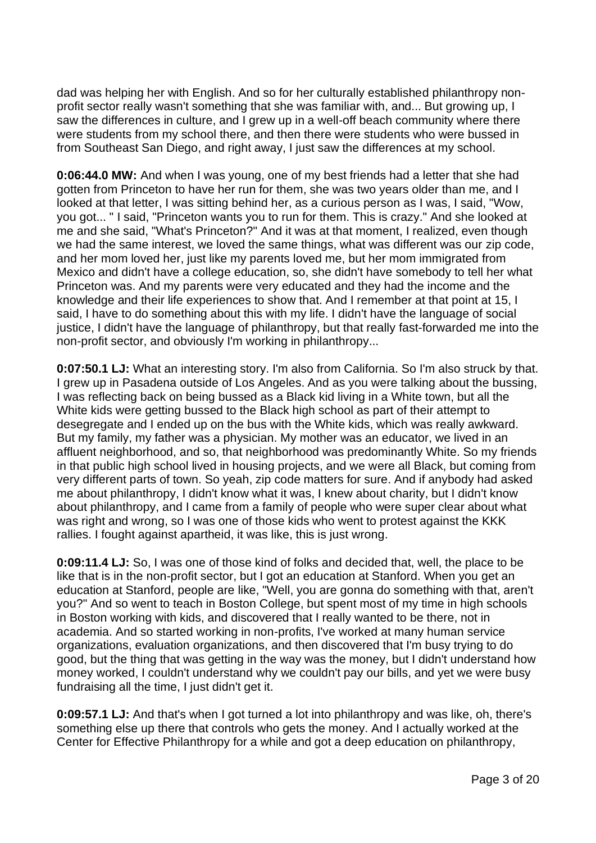dad was helping her with English. And so for her culturally established philanthropy nonprofit sector really wasn't something that she was familiar with, and... But growing up, I saw the differences in culture, and I grew up in a well-off beach community where there were students from my school there, and then there were students who were bussed in from Southeast San Diego, and right away, I just saw the differences at my school.

**0:06:44.0 MW:** And when I was young, one of my best friends had a letter that she had gotten from Princeton to have her run for them, she was two years older than me, and I looked at that letter, I was sitting behind her, as a curious person as I was, I said, "Wow, you got... " I said, "Princeton wants you to run for them. This is crazy." And she looked at me and she said, "What's Princeton?" And it was at that moment, I realized, even though we had the same interest, we loved the same things, what was different was our zip code, and her mom loved her, just like my parents loved me, but her mom immigrated from Mexico and didn't have a college education, so, she didn't have somebody to tell her what Princeton was. And my parents were very educated and they had the income and the knowledge and their life experiences to show that. And I remember at that point at 15, I said, I have to do something about this with my life. I didn't have the language of social justice, I didn't have the language of philanthropy, but that really fast-forwarded me into the non-profit sector, and obviously I'm working in philanthropy...

**0:07:50.1 LJ:** What an interesting story. I'm also from California. So I'm also struck by that. I grew up in Pasadena outside of Los Angeles. And as you were talking about the bussing, I was reflecting back on being bussed as a Black kid living in a White town, but all the White kids were getting bussed to the Black high school as part of their attempt to desegregate and I ended up on the bus with the White kids, which was really awkward. But my family, my father was a physician. My mother was an educator, we lived in an affluent neighborhood, and so, that neighborhood was predominantly White. So my friends in that public high school lived in housing projects, and we were all Black, but coming from very different parts of town. So yeah, zip code matters for sure. And if anybody had asked me about philanthropy, I didn't know what it was, I knew about charity, but I didn't know about philanthropy, and I came from a family of people who were super clear about what was right and wrong, so I was one of those kids who went to protest against the KKK rallies. I fought against apartheid, it was like, this is just wrong.

**0:09:11.4 LJ:** So, I was one of those kind of folks and decided that, well, the place to be like that is in the non-profit sector, but I got an education at Stanford. When you get an education at Stanford, people are like, "Well, you are gonna do something with that, aren't you?" And so went to teach in Boston College, but spent most of my time in high schools in Boston working with kids, and discovered that I really wanted to be there, not in academia. And so started working in non-profits, I've worked at many human service organizations, evaluation organizations, and then discovered that I'm busy trying to do good, but the thing that was getting in the way was the money, but I didn't understand how money worked, I couldn't understand why we couldn't pay our bills, and yet we were busy fundraising all the time, I just didn't get it.

**0:09:57.1 LJ:** And that's when I got turned a lot into philanthropy and was like, oh, there's something else up there that controls who gets the money. And I actually worked at the Center for Effective Philanthropy for a while and got a deep education on philanthropy,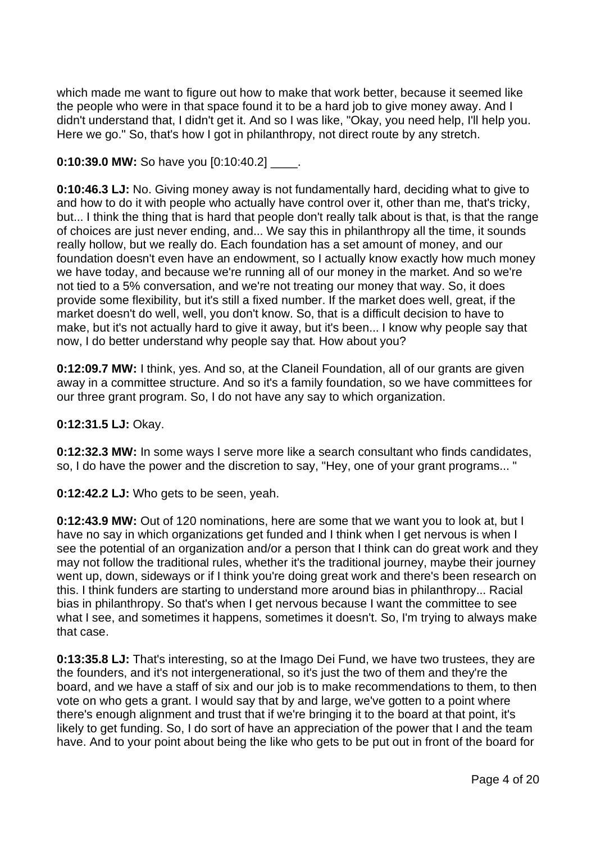which made me want to figure out how to make that work better, because it seemed like the people who were in that space found it to be a hard job to give money away. And I didn't understand that, I didn't get it. And so I was like, "Okay, you need help, I'll help you. Here we go." So, that's how I got in philanthropy, not direct route by any stretch.

# **0:10:39.0 MW: So have you [0:10:40.2]** .

**0:10:46.3 LJ:** No. Giving money away is not fundamentally hard, deciding what to give to and how to do it with people who actually have control over it, other than me, that's tricky, but... I think the thing that is hard that people don't really talk about is that, is that the range of choices are just never ending, and... We say this in philanthropy all the time, it sounds really hollow, but we really do. Each foundation has a set amount of money, and our foundation doesn't even have an endowment, so I actually know exactly how much money we have today, and because we're running all of our money in the market. And so we're not tied to a 5% conversation, and we're not treating our money that way. So, it does provide some flexibility, but it's still a fixed number. If the market does well, great, if the market doesn't do well, well, you don't know. So, that is a difficult decision to have to make, but it's not actually hard to give it away, but it's been... I know why people say that now, I do better understand why people say that. How about you?

**0:12:09.7 MW:** I think, yes. And so, at the Claneil Foundation, all of our grants are given away in a committee structure. And so it's a family foundation, so we have committees for our three grant program. So, I do not have any say to which organization.

### **0:12:31.5 LJ:** Okay.

**0:12:32.3 MW:** In some ways I serve more like a search consultant who finds candidates, so, I do have the power and the discretion to say, "Hey, one of your grant programs... "

**0:12:42.2 LJ:** Who gets to be seen, yeah.

**0:12:43.9 MW:** Out of 120 nominations, here are some that we want you to look at, but I have no say in which organizations get funded and I think when I get nervous is when I see the potential of an organization and/or a person that I think can do great work and they may not follow the traditional rules, whether it's the traditional journey, maybe their journey went up, down, sideways or if I think you're doing great work and there's been research on this. I think funders are starting to understand more around bias in philanthropy... Racial bias in philanthropy. So that's when I get nervous because I want the committee to see what I see, and sometimes it happens, sometimes it doesn't. So, I'm trying to always make that case.

**0:13:35.8 LJ:** That's interesting, so at the Imago Dei Fund, we have two trustees, they are the founders, and it's not intergenerational, so it's just the two of them and they're the board, and we have a staff of six and our job is to make recommendations to them, to then vote on who gets a grant. I would say that by and large, we've gotten to a point where there's enough alignment and trust that if we're bringing it to the board at that point, it's likely to get funding. So, I do sort of have an appreciation of the power that I and the team have. And to your point about being the like who gets to be put out in front of the board for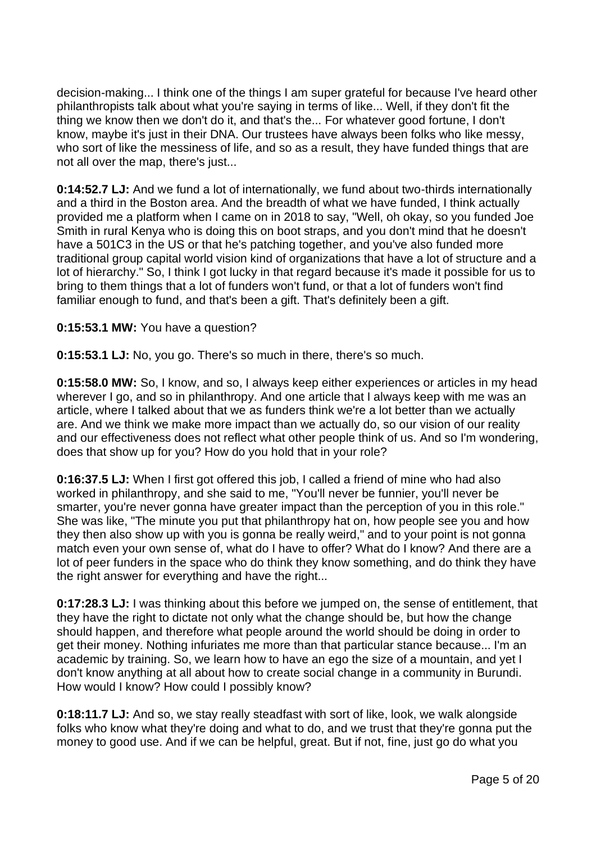decision-making... I think one of the things I am super grateful for because I've heard other philanthropists talk about what you're saying in terms of like... Well, if they don't fit the thing we know then we don't do it, and that's the... For whatever good fortune, I don't know, maybe it's just in their DNA. Our trustees have always been folks who like messy, who sort of like the messiness of life, and so as a result, they have funded things that are not all over the map, there's just...

**0:14:52.7 LJ:** And we fund a lot of internationally, we fund about two-thirds internationally and a third in the Boston area. And the breadth of what we have funded, I think actually provided me a platform when I came on in 2018 to say, "Well, oh okay, so you funded Joe Smith in rural Kenya who is doing this on boot straps, and you don't mind that he doesn't have a 501C3 in the US or that he's patching together, and you've also funded more traditional group capital world vision kind of organizations that have a lot of structure and a lot of hierarchy." So, I think I got lucky in that regard because it's made it possible for us to bring to them things that a lot of funders won't fund, or that a lot of funders won't find familiar enough to fund, and that's been a gift. That's definitely been a gift.

# **0:15:53.1 MW:** You have a question?

**0:15:53.1 LJ:** No, you go. There's so much in there, there's so much.

**0:15:58.0 MW:** So, I know, and so, I always keep either experiences or articles in my head wherever I go, and so in philanthropy. And one article that I always keep with me was an article, where I talked about that we as funders think we're a lot better than we actually are. And we think we make more impact than we actually do, so our vision of our reality and our effectiveness does not reflect what other people think of us. And so I'm wondering, does that show up for you? How do you hold that in your role?

**0:16:37.5 LJ:** When I first got offered this job, I called a friend of mine who had also worked in philanthropy, and she said to me, "You'll never be funnier, you'll never be smarter, you're never gonna have greater impact than the perception of you in this role." She was like, "The minute you put that philanthropy hat on, how people see you and how they then also show up with you is gonna be really weird," and to your point is not gonna match even your own sense of, what do I have to offer? What do I know? And there are a lot of peer funders in the space who do think they know something, and do think they have the right answer for everything and have the right...

**0:17:28.3 LJ:** I was thinking about this before we jumped on, the sense of entitlement, that they have the right to dictate not only what the change should be, but how the change should happen, and therefore what people around the world should be doing in order to get their money. Nothing infuriates me more than that particular stance because... I'm an academic by training. So, we learn how to have an ego the size of a mountain, and yet I don't know anything at all about how to create social change in a community in Burundi. How would I know? How could I possibly know?

**0:18:11.7 LJ:** And so, we stay really steadfast with sort of like, look, we walk alongside folks who know what they're doing and what to do, and we trust that they're gonna put the money to good use. And if we can be helpful, great. But if not, fine, just go do what you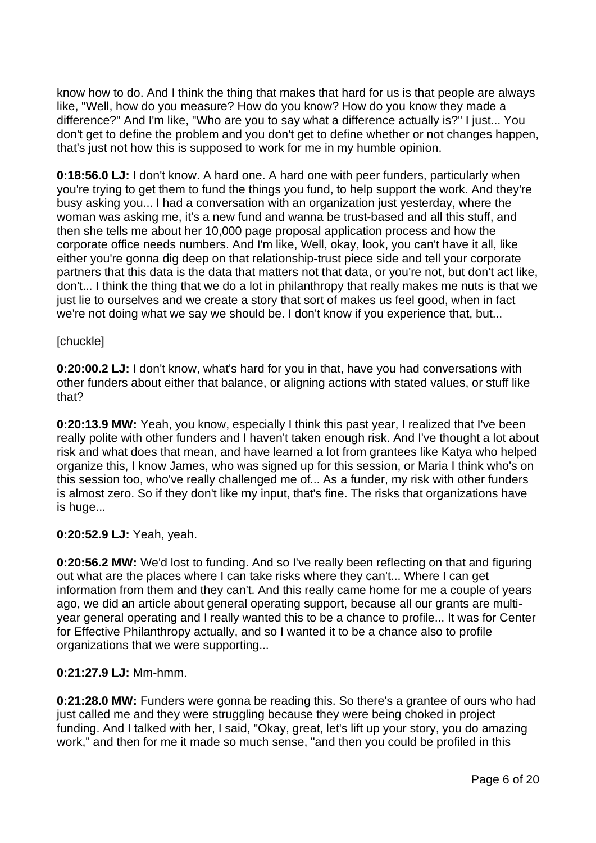know how to do. And I think the thing that makes that hard for us is that people are always like, "Well, how do you measure? How do you know? How do you know they made a difference?" And I'm like, "Who are you to say what a difference actually is?" I just... You don't get to define the problem and you don't get to define whether or not changes happen, that's just not how this is supposed to work for me in my humble opinion.

**0:18:56.0 LJ:** I don't know. A hard one. A hard one with peer funders, particularly when you're trying to get them to fund the things you fund, to help support the work. And they're busy asking you... I had a conversation with an organization just yesterday, where the woman was asking me, it's a new fund and wanna be trust-based and all this stuff, and then she tells me about her 10,000 page proposal application process and how the corporate office needs numbers. And I'm like, Well, okay, look, you can't have it all, like either you're gonna dig deep on that relationship-trust piece side and tell your corporate partners that this data is the data that matters not that data, or you're not, but don't act like, don't... I think the thing that we do a lot in philanthropy that really makes me nuts is that we just lie to ourselves and we create a story that sort of makes us feel good, when in fact we're not doing what we say we should be. I don't know if you experience that, but...

### [chuckle]

**0:20:00.2 LJ:** I don't know, what's hard for you in that, have you had conversations with other funders about either that balance, or aligning actions with stated values, or stuff like that?

**0:20:13.9 MW:** Yeah, you know, especially I think this past year, I realized that I've been really polite with other funders and I haven't taken enough risk. And I've thought a lot about risk and what does that mean, and have learned a lot from grantees like Katya who helped organize this, I know James, who was signed up for this session, or Maria I think who's on this session too, who've really challenged me of... As a funder, my risk with other funders is almost zero. So if they don't like my input, that's fine. The risks that organizations have is huge...

### **0:20:52.9 LJ:** Yeah, yeah.

**0:20:56.2 MW:** We'd lost to funding. And so I've really been reflecting on that and figuring out what are the places where I can take risks where they can't... Where I can get information from them and they can't. And this really came home for me a couple of years ago, we did an article about general operating support, because all our grants are multiyear general operating and I really wanted this to be a chance to profile... It was for Center for Effective Philanthropy actually, and so I wanted it to be a chance also to profile organizations that we were supporting...

### **0:21:27.9 LJ:** Mm-hmm.

**0:21:28.0 MW:** Funders were gonna be reading this. So there's a grantee of ours who had just called me and they were struggling because they were being choked in project funding. And I talked with her, I said, "Okay, great, let's lift up your story, you do amazing work," and then for me it made so much sense, "and then you could be profiled in this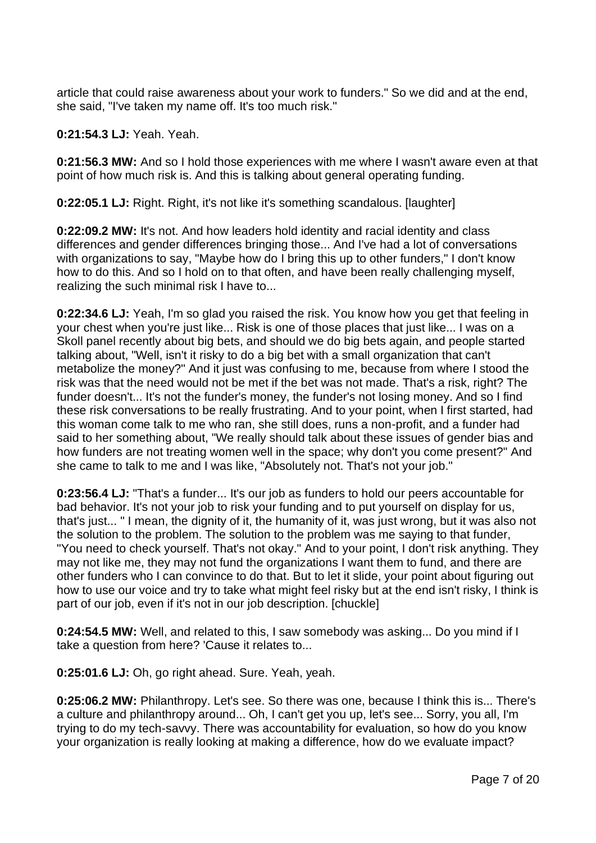article that could raise awareness about your work to funders." So we did and at the end, she said, "I've taken my name off. It's too much risk."

**0:21:54.3 LJ:** Yeah. Yeah.

**0:21:56.3 MW:** And so I hold those experiences with me where I wasn't aware even at that point of how much risk is. And this is talking about general operating funding.

**0:22:05.1 LJ:** Right. Right, it's not like it's something scandalous. [laughter]

**0:22:09.2 MW:** It's not. And how leaders hold identity and racial identity and class differences and gender differences bringing those... And I've had a lot of conversations with organizations to say, "Maybe how do I bring this up to other funders," I don't know how to do this. And so I hold on to that often, and have been really challenging myself, realizing the such minimal risk I have to...

**0:22:34.6 LJ:** Yeah, I'm so glad you raised the risk. You know how you get that feeling in your chest when you're just like... Risk is one of those places that just like... I was on a Skoll panel recently about big bets, and should we do big bets again, and people started talking about, "Well, isn't it risky to do a big bet with a small organization that can't metabolize the money?" And it just was confusing to me, because from where I stood the risk was that the need would not be met if the bet was not made. That's a risk, right? The funder doesn't... It's not the funder's money, the funder's not losing money. And so I find these risk conversations to be really frustrating. And to your point, when I first started, had this woman come talk to me who ran, she still does, runs a non-profit, and a funder had said to her something about, "We really should talk about these issues of gender bias and how funders are not treating women well in the space; why don't you come present?" And she came to talk to me and I was like, "Absolutely not. That's not your job."

**0:23:56.4 LJ:** "That's a funder... It's our job as funders to hold our peers accountable for bad behavior. It's not your job to risk your funding and to put yourself on display for us, that's just... " I mean, the dignity of it, the humanity of it, was just wrong, but it was also not the solution to the problem. The solution to the problem was me saying to that funder, "You need to check yourself. That's not okay." And to your point, I don't risk anything. They may not like me, they may not fund the organizations I want them to fund, and there are other funders who I can convince to do that. But to let it slide, your point about figuring out how to use our voice and try to take what might feel risky but at the end isn't risky, I think is part of our job, even if it's not in our job description. [chuckle]

**0:24:54.5 MW:** Well, and related to this, I saw somebody was asking... Do you mind if I take a question from here? 'Cause it relates to...

**0:25:01.6 LJ:** Oh, go right ahead. Sure. Yeah, yeah.

**0:25:06.2 MW:** Philanthropy. Let's see. So there was one, because I think this is... There's a culture and philanthropy around... Oh, I can't get you up, let's see... Sorry, you all, I'm trying to do my tech-savvy. There was accountability for evaluation, so how do you know your organization is really looking at making a difference, how do we evaluate impact?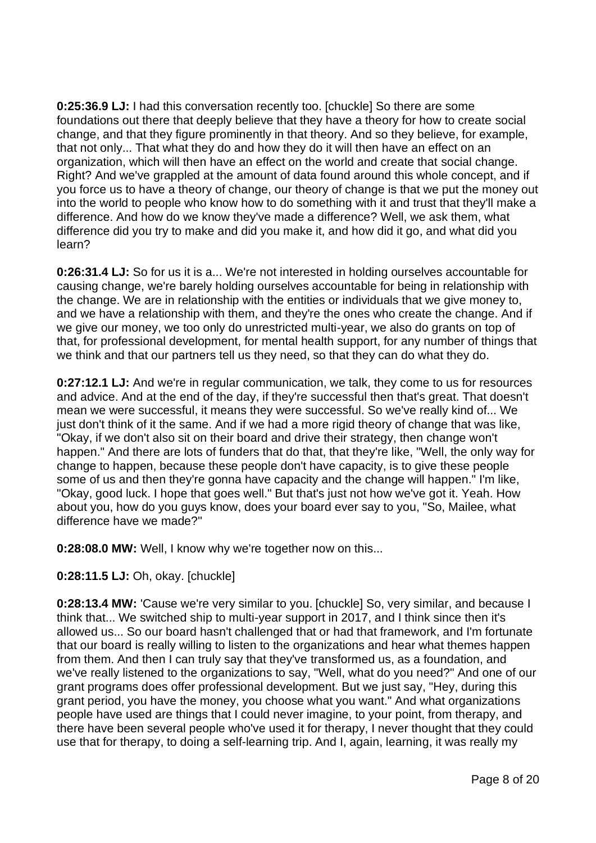**0:25:36.9 LJ:** I had this conversation recently too. [chuckle] So there are some foundations out there that deeply believe that they have a theory for how to create social change, and that they figure prominently in that theory. And so they believe, for example, that not only... That what they do and how they do it will then have an effect on an organization, which will then have an effect on the world and create that social change. Right? And we've grappled at the amount of data found around this whole concept, and if you force us to have a theory of change, our theory of change is that we put the money out into the world to people who know how to do something with it and trust that they'll make a difference. And how do we know they've made a difference? Well, we ask them, what difference did you try to make and did you make it, and how did it go, and what did you learn?

**0:26:31.4 LJ:** So for us it is a... We're not interested in holding ourselves accountable for causing change, we're barely holding ourselves accountable for being in relationship with the change. We are in relationship with the entities or individuals that we give money to, and we have a relationship with them, and they're the ones who create the change. And if we give our money, we too only do unrestricted multi-year, we also do grants on top of that, for professional development, for mental health support, for any number of things that we think and that our partners tell us they need, so that they can do what they do.

**0:27:12.1 LJ:** And we're in regular communication, we talk, they come to us for resources and advice. And at the end of the day, if they're successful then that's great. That doesn't mean we were successful, it means they were successful. So we've really kind of... We just don't think of it the same. And if we had a more rigid theory of change that was like, "Okay, if we don't also sit on their board and drive their strategy, then change won't happen." And there are lots of funders that do that, that they're like, "Well, the only way for change to happen, because these people don't have capacity, is to give these people some of us and then they're gonna have capacity and the change will happen." I'm like, "Okay, good luck. I hope that goes well." But that's just not how we've got it. Yeah. How about you, how do you guys know, does your board ever say to you, "So, Mailee, what difference have we made?"

**0:28:08.0 MW:** Well, I know why we're together now on this...

# **0:28:11.5 LJ:** Oh, okay. [chuckle]

**0:28:13.4 MW:** 'Cause we're very similar to you. [chuckle] So, very similar, and because I think that... We switched ship to multi-year support in 2017, and I think since then it's allowed us... So our board hasn't challenged that or had that framework, and I'm fortunate that our board is really willing to listen to the organizations and hear what themes happen from them. And then I can truly say that they've transformed us, as a foundation, and we've really listened to the organizations to say, "Well, what do you need?" And one of our grant programs does offer professional development. But we just say, "Hey, during this grant period, you have the money, you choose what you want." And what organizations people have used are things that I could never imagine, to your point, from therapy, and there have been several people who've used it for therapy, I never thought that they could use that for therapy, to doing a self-learning trip. And I, again, learning, it was really my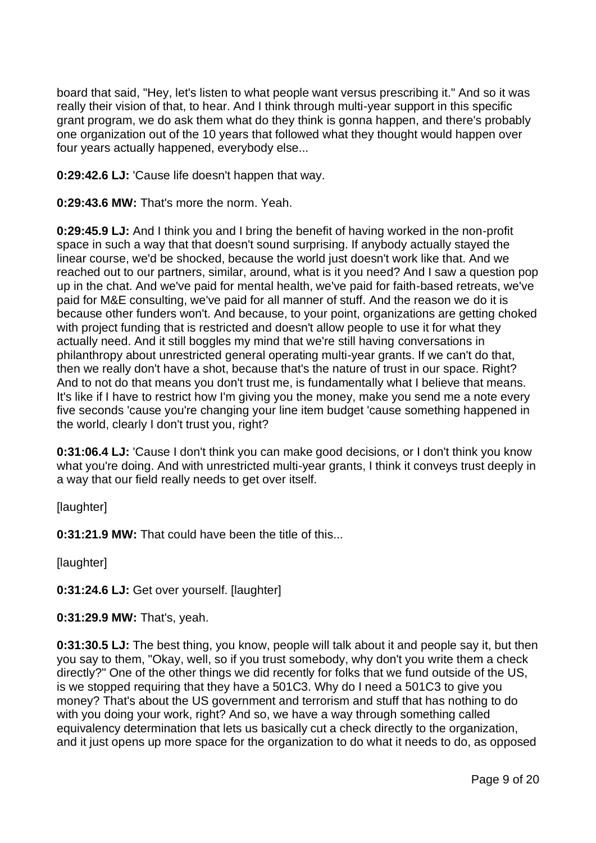board that said, "Hey, let's listen to what people want versus prescribing it." And so it was really their vision of that, to hear. And I think through multi-year support in this specific grant program, we do ask them what do they think is gonna happen, and there's probably one organization out of the 10 years that followed what they thought would happen over four years actually happened, everybody else...

**0:29:42.6 LJ:** 'Cause life doesn't happen that way.

**0:29:43.6 MW:** That's more the norm. Yeah.

**0:29:45.9 LJ:** And I think you and I bring the benefit of having worked in the non-profit space in such a way that that doesn't sound surprising. If anybody actually stayed the linear course, we'd be shocked, because the world just doesn't work like that. And we reached out to our partners, similar, around, what is it you need? And I saw a question pop up in the chat. And we've paid for mental health, we've paid for faith-based retreats, we've paid for M&E consulting, we've paid for all manner of stuff. And the reason we do it is because other funders won't. And because, to your point, organizations are getting choked with project funding that is restricted and doesn't allow people to use it for what they actually need. And it still boggles my mind that we're still having conversations in philanthropy about unrestricted general operating multi-year grants. If we can't do that, then we really don't have a shot, because that's the nature of trust in our space. Right? And to not do that means you don't trust me, is fundamentally what I believe that means. It's like if I have to restrict how I'm giving you the money, make you send me a note every five seconds 'cause you're changing your line item budget 'cause something happened in the world, clearly I don't trust you, right?

**0:31:06.4 LJ:** 'Cause I don't think you can make good decisions, or I don't think you know what you're doing. And with unrestricted multi-year grants, I think it conveys trust deeply in a way that our field really needs to get over itself.

[laughter]

**0:31:21.9 MW:** That could have been the title of this...

[laughter]

**0:31:24.6 LJ:** Get over yourself. [laughter]

**0:31:29.9 MW:** That's, yeah.

**0:31:30.5 LJ:** The best thing, you know, people will talk about it and people say it, but then you say to them, "Okay, well, so if you trust somebody, why don't you write them a check directly?" One of the other things we did recently for folks that we fund outside of the US, is we stopped requiring that they have a 501C3. Why do I need a 501C3 to give you money? That's about the US government and terrorism and stuff that has nothing to do with you doing your work, right? And so, we have a way through something called equivalency determination that lets us basically cut a check directly to the organization, and it just opens up more space for the organization to do what it needs to do, as opposed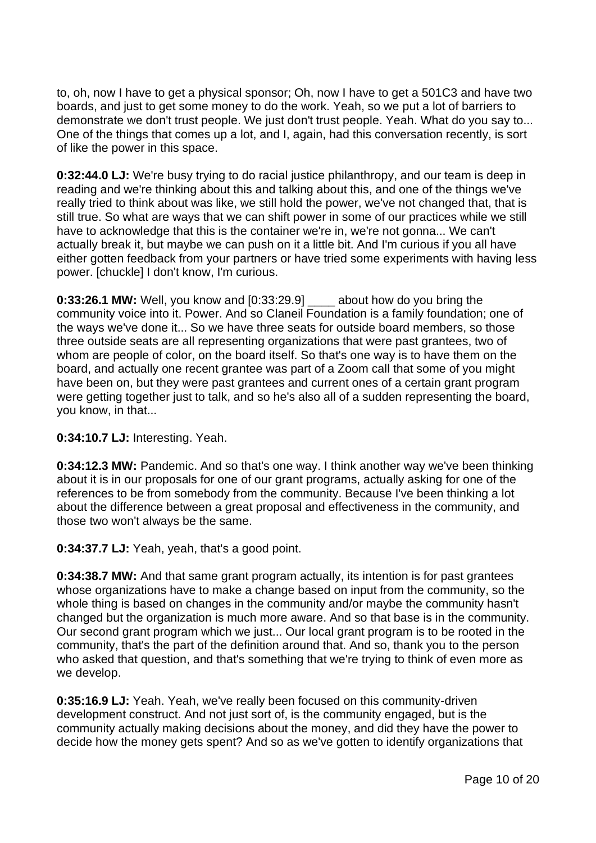to, oh, now I have to get a physical sponsor; Oh, now I have to get a 501C3 and have two boards, and just to get some money to do the work. Yeah, so we put a lot of barriers to demonstrate we don't trust people. We just don't trust people. Yeah. What do you say to... One of the things that comes up a lot, and I, again, had this conversation recently, is sort of like the power in this space.

**0:32:44.0 LJ:** We're busy trying to do racial justice philanthropy, and our team is deep in reading and we're thinking about this and talking about this, and one of the things we've really tried to think about was like, we still hold the power, we've not changed that, that is still true. So what are ways that we can shift power in some of our practices while we still have to acknowledge that this is the container we're in, we're not gonna... We can't actually break it, but maybe we can push on it a little bit. And I'm curious if you all have either gotten feedback from your partners or have tried some experiments with having less power. [chuckle] I don't know, I'm curious.

**0:33:26.1 MW:** Well, you know and [0:33:29.9] \_\_\_\_ about how do you bring the community voice into it. Power. And so Claneil Foundation is a family foundation; one of the ways we've done it... So we have three seats for outside board members, so those three outside seats are all representing organizations that were past grantees, two of whom are people of color, on the board itself. So that's one way is to have them on the board, and actually one recent grantee was part of a Zoom call that some of you might have been on, but they were past grantees and current ones of a certain grant program were getting together just to talk, and so he's also all of a sudden representing the board, you know, in that...

### **0:34:10.7 LJ:** Interesting. Yeah.

**0:34:12.3 MW:** Pandemic. And so that's one way. I think another way we've been thinking about it is in our proposals for one of our grant programs, actually asking for one of the references to be from somebody from the community. Because I've been thinking a lot about the difference between a great proposal and effectiveness in the community, and those two won't always be the same.

**0:34:37.7 LJ:** Yeah, yeah, that's a good point.

**0:34:38.7 MW:** And that same grant program actually, its intention is for past grantees whose organizations have to make a change based on input from the community, so the whole thing is based on changes in the community and/or maybe the community hasn't changed but the organization is much more aware. And so that base is in the community. Our second grant program which we just... Our local grant program is to be rooted in the community, that's the part of the definition around that. And so, thank you to the person who asked that question, and that's something that we're trying to think of even more as we develop.

**0:35:16.9 LJ:** Yeah. Yeah, we've really been focused on this community-driven development construct. And not just sort of, is the community engaged, but is the community actually making decisions about the money, and did they have the power to decide how the money gets spent? And so as we've gotten to identify organizations that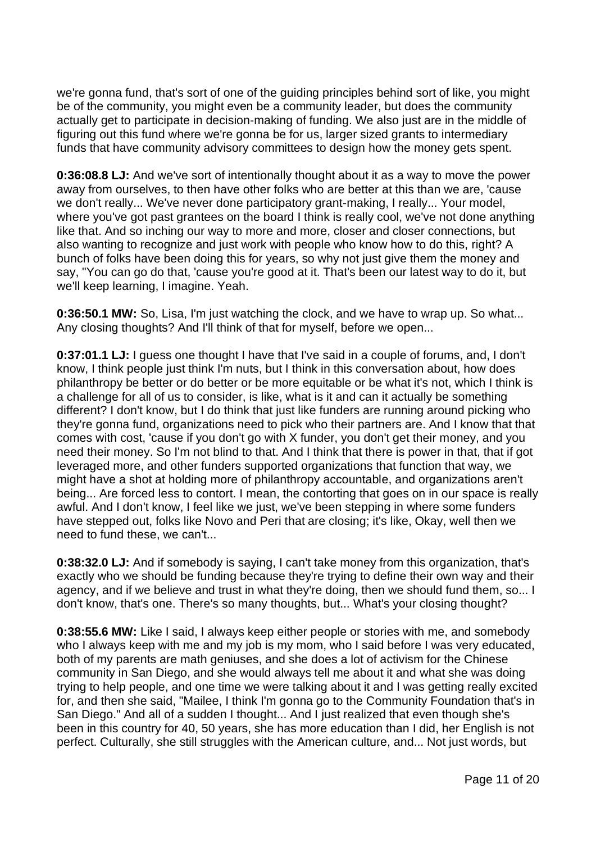we're gonna fund, that's sort of one of the guiding principles behind sort of like, you might be of the community, you might even be a community leader, but does the community actually get to participate in decision-making of funding. We also just are in the middle of figuring out this fund where we're gonna be for us, larger sized grants to intermediary funds that have community advisory committees to design how the money gets spent.

**0:36:08.8 LJ:** And we've sort of intentionally thought about it as a way to move the power away from ourselves, to then have other folks who are better at this than we are, 'cause we don't really... We've never done participatory grant-making, I really... Your model, where you've got past grantees on the board I think is really cool, we've not done anything like that. And so inching our way to more and more, closer and closer connections, but also wanting to recognize and just work with people who know how to do this, right? A bunch of folks have been doing this for years, so why not just give them the money and say, "You can go do that, 'cause you're good at it. That's been our latest way to do it, but we'll keep learning, I imagine. Yeah.

**0:36:50.1 MW:** So, Lisa, I'm just watching the clock, and we have to wrap up. So what... Any closing thoughts? And I'll think of that for myself, before we open...

**0:37:01.1 LJ:** I guess one thought I have that I've said in a couple of forums, and, I don't know, I think people just think I'm nuts, but I think in this conversation about, how does philanthropy be better or do better or be more equitable or be what it's not, which I think is a challenge for all of us to consider, is like, what is it and can it actually be something different? I don't know, but I do think that just like funders are running around picking who they're gonna fund, organizations need to pick who their partners are. And I know that that comes with cost, 'cause if you don't go with X funder, you don't get their money, and you need their money. So I'm not blind to that. And I think that there is power in that, that if got leveraged more, and other funders supported organizations that function that way, we might have a shot at holding more of philanthropy accountable, and organizations aren't being... Are forced less to contort. I mean, the contorting that goes on in our space is really awful. And I don't know, I feel like we just, we've been stepping in where some funders have stepped out, folks like Novo and Peri that are closing; it's like, Okay, well then we need to fund these, we can't...

**0:38:32.0 LJ:** And if somebody is saying, I can't take money from this organization, that's exactly who we should be funding because they're trying to define their own way and their agency, and if we believe and trust in what they're doing, then we should fund them, so... I don't know, that's one. There's so many thoughts, but... What's your closing thought?

**0:38:55.6 MW:** Like I said, I always keep either people or stories with me, and somebody who I always keep with me and my job is my mom, who I said before I was very educated, both of my parents are math geniuses, and she does a lot of activism for the Chinese community in San Diego, and she would always tell me about it and what she was doing trying to help people, and one time we were talking about it and I was getting really excited for, and then she said, "Mailee, I think I'm gonna go to the Community Foundation that's in San Diego." And all of a sudden I thought... And I just realized that even though she's been in this country for 40, 50 years, she has more education than I did, her English is not perfect. Culturally, she still struggles with the American culture, and... Not just words, but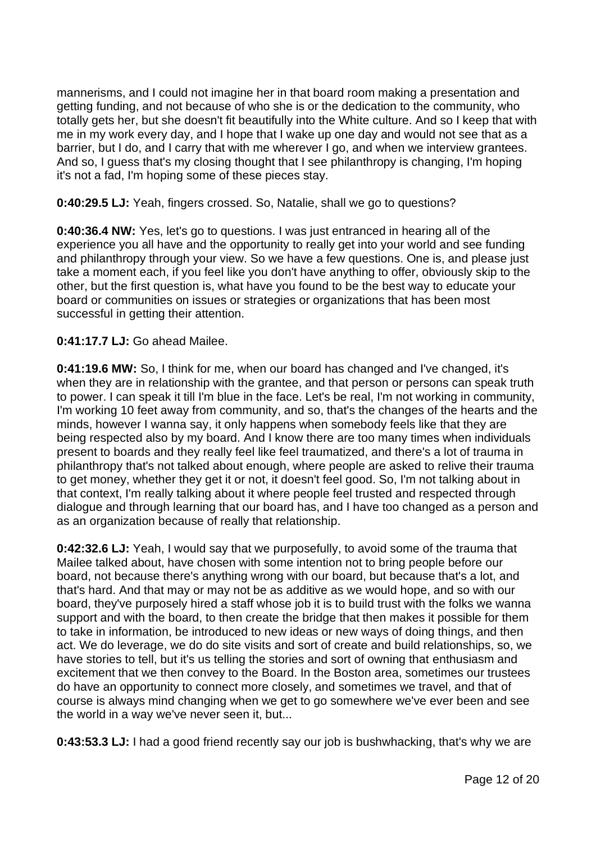mannerisms, and I could not imagine her in that board room making a presentation and getting funding, and not because of who she is or the dedication to the community, who totally gets her, but she doesn't fit beautifully into the White culture. And so I keep that with me in my work every day, and I hope that I wake up one day and would not see that as a barrier, but I do, and I carry that with me wherever I go, and when we interview grantees. And so, I guess that's my closing thought that I see philanthropy is changing, I'm hoping it's not a fad, I'm hoping some of these pieces stay.

### **0:40:29.5 LJ:** Yeah, fingers crossed. So, Natalie, shall we go to questions?

**0:40:36.4 NW:** Yes, let's go to questions. I was just entranced in hearing all of the experience you all have and the opportunity to really get into your world and see funding and philanthropy through your view. So we have a few questions. One is, and please just take a moment each, if you feel like you don't have anything to offer, obviously skip to the other, but the first question is, what have you found to be the best way to educate your board or communities on issues or strategies or organizations that has been most successful in getting their attention.

# **0:41:17.7 LJ:** Go ahead Mailee.

**0:41:19.6 MW:** So, I think for me, when our board has changed and I've changed, it's when they are in relationship with the grantee, and that person or persons can speak truth to power. I can speak it till I'm blue in the face. Let's be real, I'm not working in community, I'm working 10 feet away from community, and so, that's the changes of the hearts and the minds, however I wanna say, it only happens when somebody feels like that they are being respected also by my board. And I know there are too many times when individuals present to boards and they really feel like feel traumatized, and there's a lot of trauma in philanthropy that's not talked about enough, where people are asked to relive their trauma to get money, whether they get it or not, it doesn't feel good. So, I'm not talking about in that context, I'm really talking about it where people feel trusted and respected through dialogue and through learning that our board has, and I have too changed as a person and as an organization because of really that relationship.

**0:42:32.6 LJ:** Yeah, I would say that we purposefully, to avoid some of the trauma that Mailee talked about, have chosen with some intention not to bring people before our board, not because there's anything wrong with our board, but because that's a lot, and that's hard. And that may or may not be as additive as we would hope, and so with our board, they've purposely hired a staff whose job it is to build trust with the folks we wanna support and with the board, to then create the bridge that then makes it possible for them to take in information, be introduced to new ideas or new ways of doing things, and then act. We do leverage, we do do site visits and sort of create and build relationships, so, we have stories to tell, but it's us telling the stories and sort of owning that enthusiasm and excitement that we then convey to the Board. In the Boston area, sometimes our trustees do have an opportunity to connect more closely, and sometimes we travel, and that of course is always mind changing when we get to go somewhere we've ever been and see the world in a way we've never seen it, but...

**0:43:53.3 LJ:** I had a good friend recently say our job is bushwhacking, that's why we are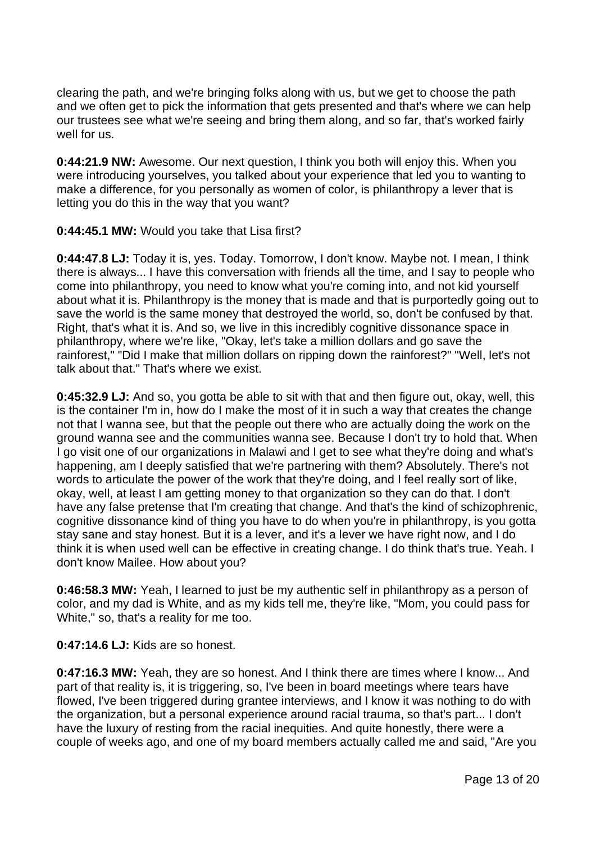clearing the path, and we're bringing folks along with us, but we get to choose the path and we often get to pick the information that gets presented and that's where we can help our trustees see what we're seeing and bring them along, and so far, that's worked fairly well for us.

**0:44:21.9 NW:** Awesome. Our next question, I think you both will enjoy this. When you were introducing yourselves, you talked about your experience that led you to wanting to make a difference, for you personally as women of color, is philanthropy a lever that is letting you do this in the way that you want?

# **0:44:45.1 MW:** Would you take that Lisa first?

**0:44:47.8 LJ:** Today it is, yes. Today. Tomorrow, I don't know. Maybe not. I mean, I think there is always... I have this conversation with friends all the time, and I say to people who come into philanthropy, you need to know what you're coming into, and not kid yourself about what it is. Philanthropy is the money that is made and that is purportedly going out to save the world is the same money that destroyed the world, so, don't be confused by that. Right, that's what it is. And so, we live in this incredibly cognitive dissonance space in philanthropy, where we're like, "Okay, let's take a million dollars and go save the rainforest," "Did I make that million dollars on ripping down the rainforest?" "Well, let's not talk about that." That's where we exist.

**0:45:32.9 LJ:** And so, you gotta be able to sit with that and then figure out, okay, well, this is the container I'm in, how do I make the most of it in such a way that creates the change not that I wanna see, but that the people out there who are actually doing the work on the ground wanna see and the communities wanna see. Because I don't try to hold that. When I go visit one of our organizations in Malawi and I get to see what they're doing and what's happening, am I deeply satisfied that we're partnering with them? Absolutely. There's not words to articulate the power of the work that they're doing, and I feel really sort of like, okay, well, at least I am getting money to that organization so they can do that. I don't have any false pretense that I'm creating that change. And that's the kind of schizophrenic, cognitive dissonance kind of thing you have to do when you're in philanthropy, is you gotta stay sane and stay honest. But it is a lever, and it's a lever we have right now, and I do think it is when used well can be effective in creating change. I do think that's true. Yeah. I don't know Mailee. How about you?

**0:46:58.3 MW:** Yeah, I learned to just be my authentic self in philanthropy as a person of color, and my dad is White, and as my kids tell me, they're like, "Mom, you could pass for White," so, that's a reality for me too.

**0:47:14.6 LJ:** Kids are so honest.

**0:47:16.3 MW:** Yeah, they are so honest. And I think there are times where I know... And part of that reality is, it is triggering, so, I've been in board meetings where tears have flowed, I've been triggered during grantee interviews, and I know it was nothing to do with the organization, but a personal experience around racial trauma, so that's part... I don't have the luxury of resting from the racial inequities. And quite honestly, there were a couple of weeks ago, and one of my board members actually called me and said, "Are you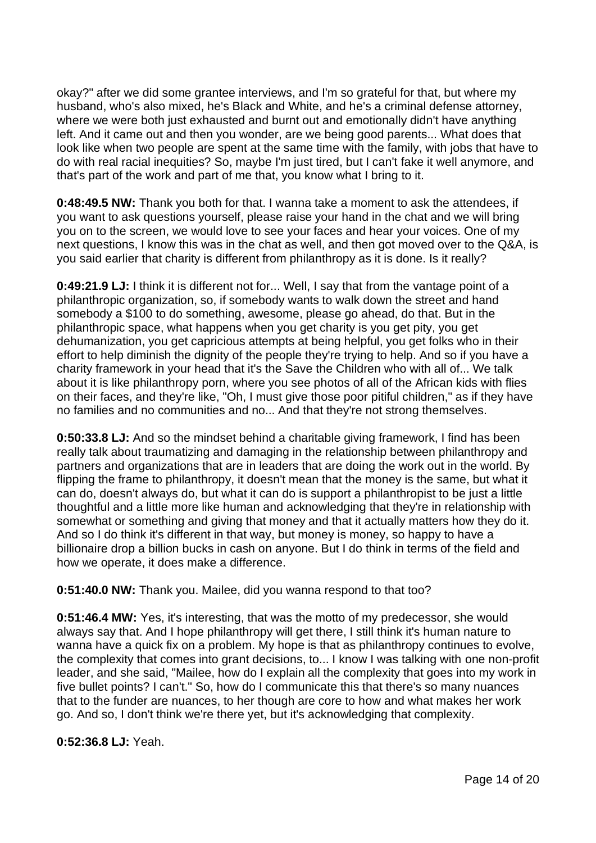okay?" after we did some grantee interviews, and I'm so grateful for that, but where my husband, who's also mixed, he's Black and White, and he's a criminal defense attorney, where we were both just exhausted and burnt out and emotionally didn't have anything left. And it came out and then you wonder, are we being good parents... What does that look like when two people are spent at the same time with the family, with jobs that have to do with real racial inequities? So, maybe I'm just tired, but I can't fake it well anymore, and that's part of the work and part of me that, you know what I bring to it.

**0:48:49.5 NW:** Thank you both for that. I wanna take a moment to ask the attendees, if you want to ask questions yourself, please raise your hand in the chat and we will bring you on to the screen, we would love to see your faces and hear your voices. One of my next questions, I know this was in the chat as well, and then got moved over to the Q&A, is you said earlier that charity is different from philanthropy as it is done. Is it really?

**0:49:21.9 LJ:** I think it is different not for... Well, I say that from the vantage point of a philanthropic organization, so, if somebody wants to walk down the street and hand somebody a \$100 to do something, awesome, please go ahead, do that. But in the philanthropic space, what happens when you get charity is you get pity, you get dehumanization, you get capricious attempts at being helpful, you get folks who in their effort to help diminish the dignity of the people they're trying to help. And so if you have a charity framework in your head that it's the Save the Children who with all of... We talk about it is like philanthropy porn, where you see photos of all of the African kids with flies on their faces, and they're like, "Oh, I must give those poor pitiful children," as if they have no families and no communities and no... And that they're not strong themselves.

**0:50:33.8 LJ:** And so the mindset behind a charitable giving framework, I find has been really talk about traumatizing and damaging in the relationship between philanthropy and partners and organizations that are in leaders that are doing the work out in the world. By flipping the frame to philanthropy, it doesn't mean that the money is the same, but what it can do, doesn't always do, but what it can do is support a philanthropist to be just a little thoughtful and a little more like human and acknowledging that they're in relationship with somewhat or something and giving that money and that it actually matters how they do it. And so I do think it's different in that way, but money is money, so happy to have a billionaire drop a billion bucks in cash on anyone. But I do think in terms of the field and how we operate, it does make a difference.

**0:51:40.0 NW:** Thank you. Mailee, did you wanna respond to that too?

**0:51:46.4 MW:** Yes, it's interesting, that was the motto of my predecessor, she would always say that. And I hope philanthropy will get there, I still think it's human nature to wanna have a quick fix on a problem. My hope is that as philanthropy continues to evolve, the complexity that comes into grant decisions, to... I know I was talking with one non-profit leader, and she said, "Mailee, how do I explain all the complexity that goes into my work in five bullet points? I can't." So, how do I communicate this that there's so many nuances that to the funder are nuances, to her though are core to how and what makes her work go. And so, I don't think we're there yet, but it's acknowledging that complexity.

**0:52:36.8 LJ:** Yeah.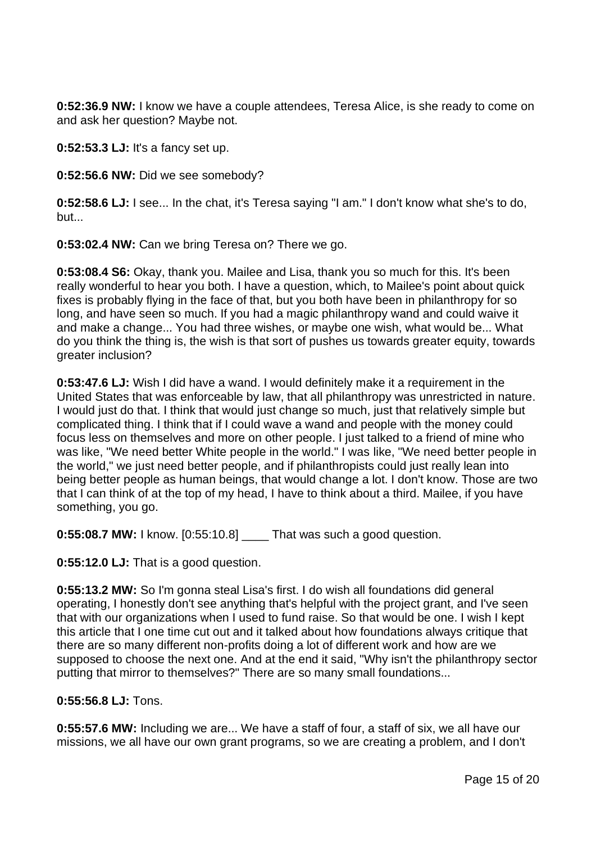**0:52:36.9 NW:** I know we have a couple attendees, Teresa Alice, is she ready to come on and ask her question? Maybe not.

**0:52:53.3 LJ:** It's a fancy set up.

**0:52:56.6 NW:** Did we see somebody?

**0:52:58.6 LJ:** I see... In the chat, it's Teresa saying "I am." I don't know what she's to do, but...

**0:53:02.4 NW:** Can we bring Teresa on? There we go.

**0:53:08.4 S6:** Okay, thank you. Mailee and Lisa, thank you so much for this. It's been really wonderful to hear you both. I have a question, which, to Mailee's point about quick fixes is probably flying in the face of that, but you both have been in philanthropy for so long, and have seen so much. If you had a magic philanthropy wand and could waive it and make a change... You had three wishes, or maybe one wish, what would be... What do you think the thing is, the wish is that sort of pushes us towards greater equity, towards greater inclusion?

**0:53:47.6 LJ:** Wish I did have a wand. I would definitely make it a requirement in the United States that was enforceable by law, that all philanthropy was unrestricted in nature. I would just do that. I think that would just change so much, just that relatively simple but complicated thing. I think that if I could wave a wand and people with the money could focus less on themselves and more on other people. I just talked to a friend of mine who was like, "We need better White people in the world." I was like, "We need better people in the world," we just need better people, and if philanthropists could just really lean into being better people as human beings, that would change a lot. I don't know. Those are two that I can think of at the top of my head, I have to think about a third. Mailee, if you have something, you go.

**0:55:08.7 MW:** I know. [0:55:10.8] \_\_\_\_ That was such a good question.

**0:55:12.0 LJ:** That is a good question.

**0:55:13.2 MW:** So I'm gonna steal Lisa's first. I do wish all foundations did general operating, I honestly don't see anything that's helpful with the project grant, and I've seen that with our organizations when I used to fund raise. So that would be one. I wish I kept this article that I one time cut out and it talked about how foundations always critique that there are so many different non-profits doing a lot of different work and how are we supposed to choose the next one. And at the end it said, "Why isn't the philanthropy sector putting that mirror to themselves?" There are so many small foundations...

### **0:55:56.8 LJ:** Tons.

**0:55:57.6 MW:** Including we are... We have a staff of four, a staff of six, we all have our missions, we all have our own grant programs, so we are creating a problem, and I don't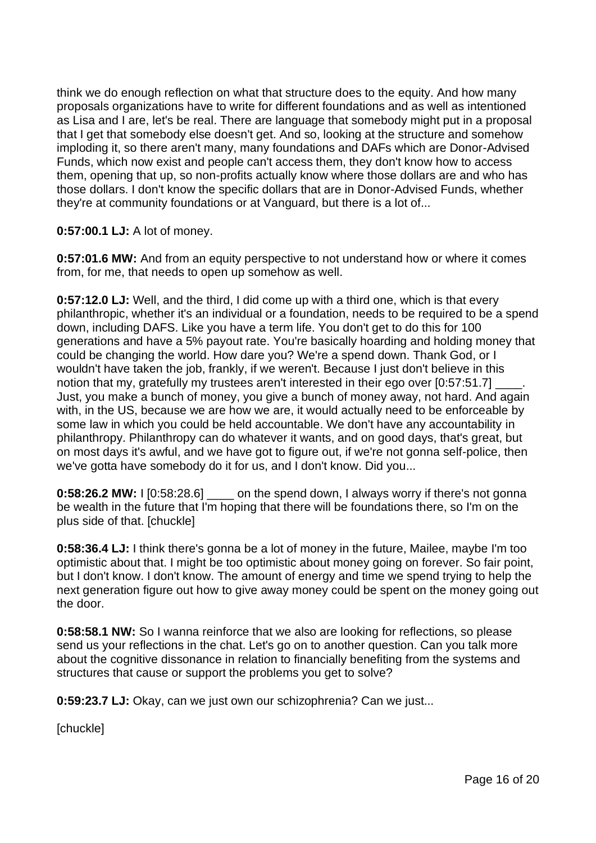think we do enough reflection on what that structure does to the equity. And how many proposals organizations have to write for different foundations and as well as intentioned as Lisa and I are, let's be real. There are language that somebody might put in a proposal that I get that somebody else doesn't get. And so, looking at the structure and somehow imploding it, so there aren't many, many foundations and DAFs which are Donor-Advised Funds, which now exist and people can't access them, they don't know how to access them, opening that up, so non-profits actually know where those dollars are and who has those dollars. I don't know the specific dollars that are in Donor-Advised Funds, whether they're at community foundations or at Vanguard, but there is a lot of...

# **0:57:00.1 LJ:** A lot of money.

**0:57:01.6 MW:** And from an equity perspective to not understand how or where it comes from, for me, that needs to open up somehow as well.

**0:57:12.0 LJ:** Well, and the third, I did come up with a third one, which is that every philanthropic, whether it's an individual or a foundation, needs to be required to be a spend down, including DAFS. Like you have a term life. You don't get to do this for 100 generations and have a 5% payout rate. You're basically hoarding and holding money that could be changing the world. How dare you? We're a spend down. Thank God, or I wouldn't have taken the job, frankly, if we weren't. Because I just don't believe in this notion that my, gratefully my trustees aren't interested in their ego over [0:57:51.7] Just, you make a bunch of money, you give a bunch of money away, not hard. And again with, in the US, because we are how we are, it would actually need to be enforceable by some law in which you could be held accountable. We don't have any accountability in philanthropy. Philanthropy can do whatever it wants, and on good days, that's great, but on most days it's awful, and we have got to figure out, if we're not gonna self-police, then we've gotta have somebody do it for us, and I don't know. Did you...

**0:58:26.2 MW:** I [0:58:28.6] on the spend down, I always worry if there's not gonna be wealth in the future that I'm hoping that there will be foundations there, so I'm on the plus side of that. [chuckle]

**0:58:36.4 LJ:** I think there's gonna be a lot of money in the future, Mailee, maybe I'm too optimistic about that. I might be too optimistic about money going on forever. So fair point, but I don't know. I don't know. The amount of energy and time we spend trying to help the next generation figure out how to give away money could be spent on the money going out the door.

**0:58:58.1 NW:** So I wanna reinforce that we also are looking for reflections, so please send us your reflections in the chat. Let's go on to another question. Can you talk more about the cognitive dissonance in relation to financially benefiting from the systems and structures that cause or support the problems you get to solve?

**0:59:23.7 LJ:** Okay, can we just own our schizophrenia? Can we just...

[chuckle]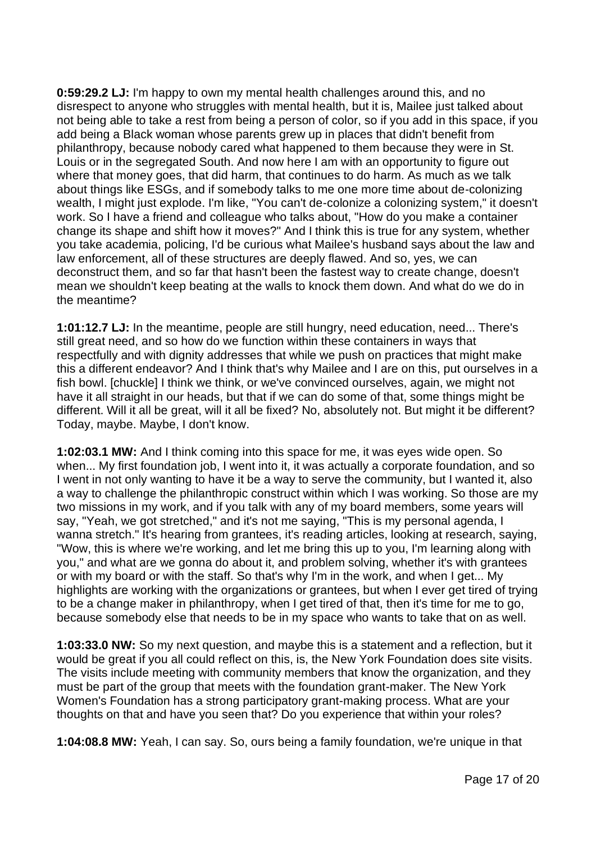**0:59:29.2 LJ:** I'm happy to own my mental health challenges around this, and no disrespect to anyone who struggles with mental health, but it is, Mailee just talked about not being able to take a rest from being a person of color, so if you add in this space, if you add being a Black woman whose parents grew up in places that didn't benefit from philanthropy, because nobody cared what happened to them because they were in St. Louis or in the segregated South. And now here I am with an opportunity to figure out where that money goes, that did harm, that continues to do harm. As much as we talk about things like ESGs, and if somebody talks to me one more time about de-colonizing wealth, I might just explode. I'm like, "You can't de-colonize a colonizing system," it doesn't work. So I have a friend and colleague who talks about, "How do you make a container change its shape and shift how it moves?" And I think this is true for any system, whether you take academia, policing, I'd be curious what Mailee's husband says about the law and law enforcement, all of these structures are deeply flawed. And so, yes, we can deconstruct them, and so far that hasn't been the fastest way to create change, doesn't mean we shouldn't keep beating at the walls to knock them down. And what do we do in the meantime?

**1:01:12.7 LJ:** In the meantime, people are still hungry, need education, need... There's still great need, and so how do we function within these containers in ways that respectfully and with dignity addresses that while we push on practices that might make this a different endeavor? And I think that's why Mailee and I are on this, put ourselves in a fish bowl. [chuckle] I think we think, or we've convinced ourselves, again, we might not have it all straight in our heads, but that if we can do some of that, some things might be different. Will it all be great, will it all be fixed? No, absolutely not. But might it be different? Today, maybe. Maybe, I don't know.

**1:02:03.1 MW:** And I think coming into this space for me, it was eyes wide open. So when... My first foundation job, I went into it, it was actually a corporate foundation, and so I went in not only wanting to have it be a way to serve the community, but I wanted it, also a way to challenge the philanthropic construct within which I was working. So those are my two missions in my work, and if you talk with any of my board members, some years will say, "Yeah, we got stretched," and it's not me saying, "This is my personal agenda, I wanna stretch." It's hearing from grantees, it's reading articles, looking at research, saying, "Wow, this is where we're working, and let me bring this up to you, I'm learning along with you," and what are we gonna do about it, and problem solving, whether it's with grantees or with my board or with the staff. So that's why I'm in the work, and when I get... My highlights are working with the organizations or grantees, but when I ever get tired of trying to be a change maker in philanthropy, when I get tired of that, then it's time for me to go, because somebody else that needs to be in my space who wants to take that on as well.

**1:03:33.0 NW:** So my next question, and maybe this is a statement and a reflection, but it would be great if you all could reflect on this, is, the New York Foundation does site visits. The visits include meeting with community members that know the organization, and they must be part of the group that meets with the foundation grant-maker. The New York Women's Foundation has a strong participatory grant-making process. What are your thoughts on that and have you seen that? Do you experience that within your roles?

**1:04:08.8 MW:** Yeah, I can say. So, ours being a family foundation, we're unique in that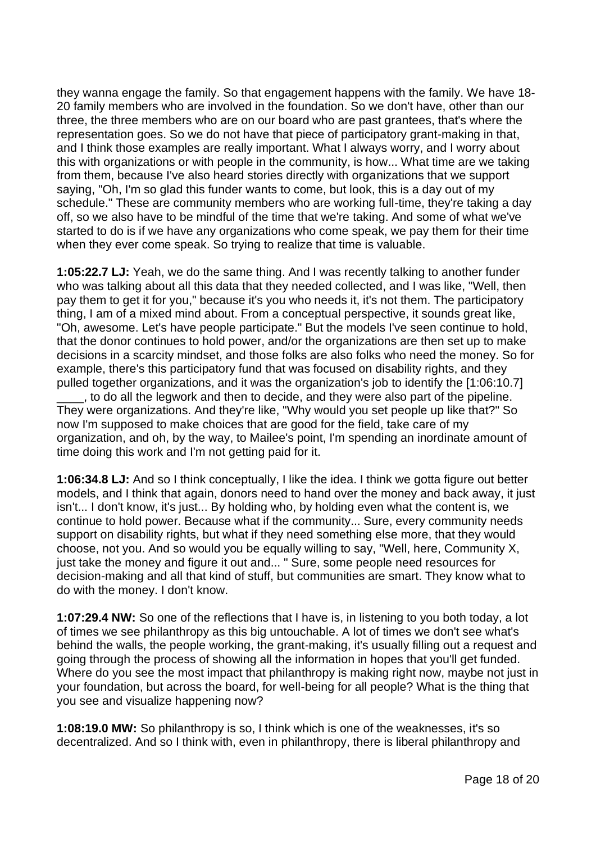they wanna engage the family. So that engagement happens with the family. We have 18- 20 family members who are involved in the foundation. So we don't have, other than our three, the three members who are on our board who are past grantees, that's where the representation goes. So we do not have that piece of participatory grant-making in that, and I think those examples are really important. What I always worry, and I worry about this with organizations or with people in the community, is how... What time are we taking from them, because I've also heard stories directly with organizations that we support saying, "Oh, I'm so glad this funder wants to come, but look, this is a day out of my schedule." These are community members who are working full-time, they're taking a day off, so we also have to be mindful of the time that we're taking. And some of what we've started to do is if we have any organizations who come speak, we pay them for their time when they ever come speak. So trying to realize that time is valuable.

**1:05:22.7 LJ:** Yeah, we do the same thing. And I was recently talking to another funder who was talking about all this data that they needed collected, and I was like, "Well, then pay them to get it for you," because it's you who needs it, it's not them. The participatory thing, I am of a mixed mind about. From a conceptual perspective, it sounds great like, "Oh, awesome. Let's have people participate." But the models I've seen continue to hold, that the donor continues to hold power, and/or the organizations are then set up to make decisions in a scarcity mindset, and those folks are also folks who need the money. So for example, there's this participatory fund that was focused on disability rights, and they pulled together organizations, and it was the organization's job to identify the [1:06:10.7] \_\_\_\_, to do all the legwork and then to decide, and they were also part of the pipeline.

They were organizations. And they're like, "Why would you set people up like that?" So now I'm supposed to make choices that are good for the field, take care of my organization, and oh, by the way, to Mailee's point, I'm spending an inordinate amount of time doing this work and I'm not getting paid for it.

**1:06:34.8 LJ:** And so I think conceptually, I like the idea. I think we gotta figure out better models, and I think that again, donors need to hand over the money and back away, it just isn't... I don't know, it's just... By holding who, by holding even what the content is, we continue to hold power. Because what if the community... Sure, every community needs support on disability rights, but what if they need something else more, that they would choose, not you. And so would you be equally willing to say, "Well, here, Community X, just take the money and figure it out and... " Sure, some people need resources for decision-making and all that kind of stuff, but communities are smart. They know what to do with the money. I don't know.

**1:07:29.4 NW:** So one of the reflections that I have is, in listening to you both today, a lot of times we see philanthropy as this big untouchable. A lot of times we don't see what's behind the walls, the people working, the grant-making, it's usually filling out a request and going through the process of showing all the information in hopes that you'll get funded. Where do you see the most impact that philanthropy is making right now, maybe not just in your foundation, but across the board, for well-being for all people? What is the thing that you see and visualize happening now?

**1:08:19.0 MW:** So philanthropy is so, I think which is one of the weaknesses, it's so decentralized. And so I think with, even in philanthropy, there is liberal philanthropy and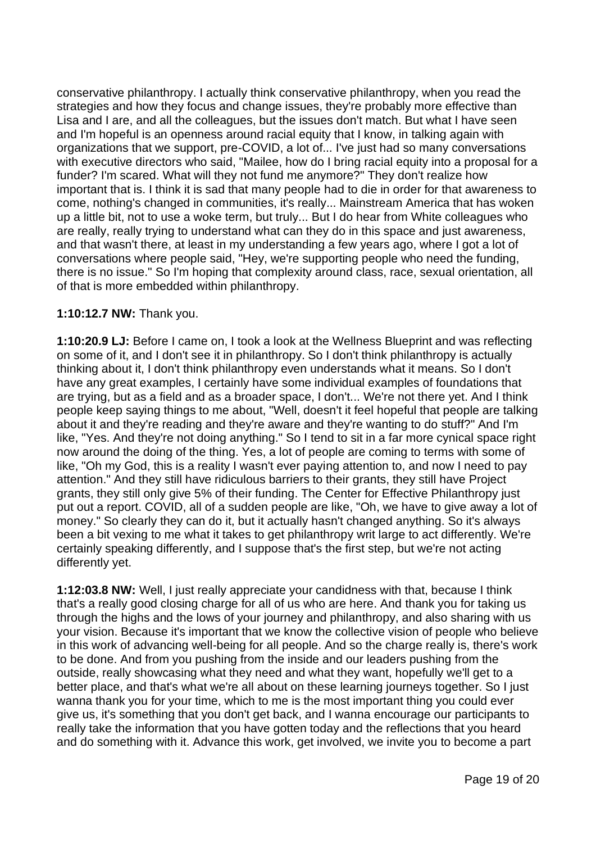conservative philanthropy. I actually think conservative philanthropy, when you read the strategies and how they focus and change issues, they're probably more effective than Lisa and I are, and all the colleagues, but the issues don't match. But what I have seen and I'm hopeful is an openness around racial equity that I know, in talking again with organizations that we support, pre-COVID, a lot of... I've just had so many conversations with executive directors who said, "Mailee, how do I bring racial equity into a proposal for a funder? I'm scared. What will they not fund me anymore?" They don't realize how important that is. I think it is sad that many people had to die in order for that awareness to come, nothing's changed in communities, it's really... Mainstream America that has woken up a little bit, not to use a woke term, but truly... But I do hear from White colleagues who are really, really trying to understand what can they do in this space and just awareness, and that wasn't there, at least in my understanding a few years ago, where I got a lot of conversations where people said, "Hey, we're supporting people who need the funding, there is no issue." So I'm hoping that complexity around class, race, sexual orientation, all of that is more embedded within philanthropy.

# **1:10:12.7 NW:** Thank you.

**1:10:20.9 LJ:** Before I came on, I took a look at the Wellness Blueprint and was reflecting on some of it, and I don't see it in philanthropy. So I don't think philanthropy is actually thinking about it, I don't think philanthropy even understands what it means. So I don't have any great examples, I certainly have some individual examples of foundations that are trying, but as a field and as a broader space, I don't... We're not there yet. And I think people keep saying things to me about, "Well, doesn't it feel hopeful that people are talking about it and they're reading and they're aware and they're wanting to do stuff?" And I'm like, "Yes. And they're not doing anything." So I tend to sit in a far more cynical space right now around the doing of the thing. Yes, a lot of people are coming to terms with some of like, "Oh my God, this is a reality I wasn't ever paying attention to, and now I need to pay attention." And they still have ridiculous barriers to their grants, they still have Project grants, they still only give 5% of their funding. The Center for Effective Philanthropy just put out a report. COVID, all of a sudden people are like, "Oh, we have to give away a lot of money." So clearly they can do it, but it actually hasn't changed anything. So it's always been a bit vexing to me what it takes to get philanthropy writ large to act differently. We're certainly speaking differently, and I suppose that's the first step, but we're not acting differently yet.

**1:12:03.8 NW:** Well, I just really appreciate your candidness with that, because I think that's a really good closing charge for all of us who are here. And thank you for taking us through the highs and the lows of your journey and philanthropy, and also sharing with us your vision. Because it's important that we know the collective vision of people who believe in this work of advancing well-being for all people. And so the charge really is, there's work to be done. And from you pushing from the inside and our leaders pushing from the outside, really showcasing what they need and what they want, hopefully we'll get to a better place, and that's what we're all about on these learning journeys together. So I just wanna thank you for your time, which to me is the most important thing you could ever give us, it's something that you don't get back, and I wanna encourage our participants to really take the information that you have gotten today and the reflections that you heard and do something with it. Advance this work, get involved, we invite you to become a part